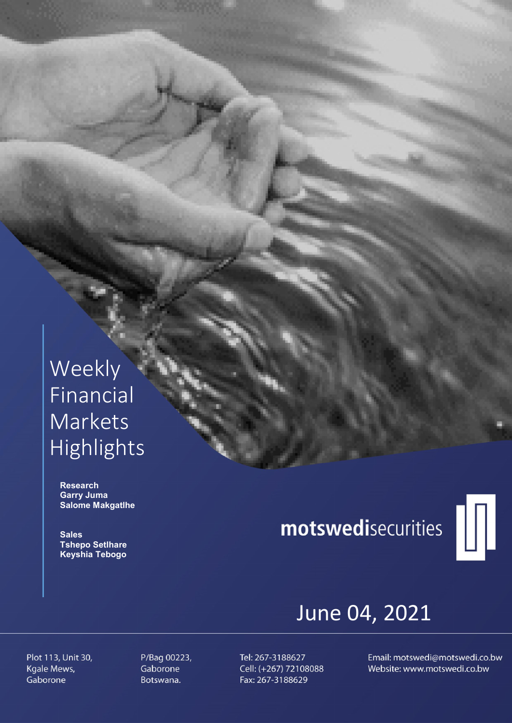## Weekly Financial Markets Highlights

 Research Garry Juma Salome Makgatlhe

**Sales**  Tshepo Setlhare Keyshia Tebogo

# motswedisecurities



## June 04, 2021

Plot 113, Unit 30, Kgale Mews, Gaborone

P/Bag 00223, Gaborone Botswana.

Tel: 267-3188627 Cell: (+267) 72108088 Fax: 267-3188629

Email: motswedi@motswedi.co.bw Website: www.motswedi.co.bw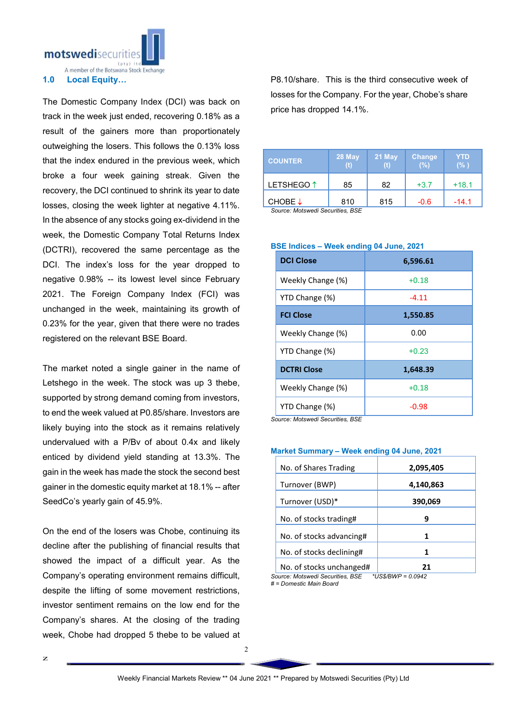

The Domestic Company Index (DCI) was back on track in the week just ended, recovering 0.18% as a result of the gainers more than proportionately outweighing the losers. This follows the 0.13% loss that the index endured in the previous week, which broke a four week gaining streak. Given the recovery, the DCI continued to shrink its year to date losses, closing the week lighter at negative 4.11%. In the absence of any stocks going ex-dividend in the week, the Domestic Company Total Returns Index (DCTRI), recovered the same percentage as the DCI. The index's loss for the year dropped to negative 0.98% -- its lowest level since February 2021. The Foreign Company Index (FCI) was unchanged in the week, maintaining its growth of 0.23% for the year, given that there were no trades registered on the relevant BSE Board.

The market noted a single gainer in the name of Letshego in the week. The stock was up 3 thebe, supported by strong demand coming from investors, to end the week valued at P0.85/share. Investors are likely buying into the stock as it remains relatively undervalued with a P/Bv of about 0.4x and likely enticed by dividend yield standing at 13.3%. The gain in the week has made the stock the second best gainer in the domestic equity market at 18.1% -- after SeedCo's yearly gain of 45.9%.

On the end of the losers was Chobe, continuing its decline after the publishing of financial results that showed the impact of a difficult year. As the Company's operating environment remains difficult, despite the lifting of some movement restrictions, investor sentiment remains on the low end for the Company's shares. At the closing of the trading week, Chobe had dropped 5 thebe to be valued at

P8.10/share. This is the third consecutive week of losses for the Company. For the year, Chobe's share price has dropped 14.1%.

| <b>COUNTER</b>        | 28 May | 21 May | Change<br>(%) | <b>YTD</b><br>(% ) |
|-----------------------|--------|--------|---------------|--------------------|
| LETSHEGO <sup>1</sup> | 85     | 82     | $+3.7$        | $+18.1$            |
| CHOBE $\downarrow$    | 810    | 815    | $-0.6$        | $-14.1$            |

*Source: Motswedi Securities, BSE* 

| <b>DCI Close</b>   | 6,596.61 |  |  |
|--------------------|----------|--|--|
| Weekly Change (%)  | $+0.18$  |  |  |
| YTD Change (%)     | $-4.11$  |  |  |
| <b>FCI Close</b>   | 1,550.85 |  |  |
| Weekly Change (%)  | 0.00     |  |  |
| YTD Change (%)     | $+0.23$  |  |  |
| <b>DCTRI Close</b> | 1,648.39 |  |  |
| Weekly Change (%)  | $+0.18$  |  |  |
| YTD Change (%)     | $-0.98$  |  |  |

#### BSE Indices – Week ending 04 June, 2021

*Source: Motswedi Securities, BSE*

| No. of Shares Trading |  | 2,095,405 |  |  |
|-----------------------|--|-----------|--|--|
| Turnover (BWP)        |  | 4,140,863 |  |  |

Market Summary – Week ending 04 June, 2021

| Turnover (BWP)           | 4,140,863 |  |  |
|--------------------------|-----------|--|--|
| Turnover (USD)*          | 390,069   |  |  |
| No. of stocks trading#   | q         |  |  |
| No. of stocks advancing# |           |  |  |
| No. of stocks declining# |           |  |  |
| No. of stocks unchanged# | 21        |  |  |

*Source: Motswedi Securities, BSE \*US\$/BWP = 0.0942 # = Domestic Main Board*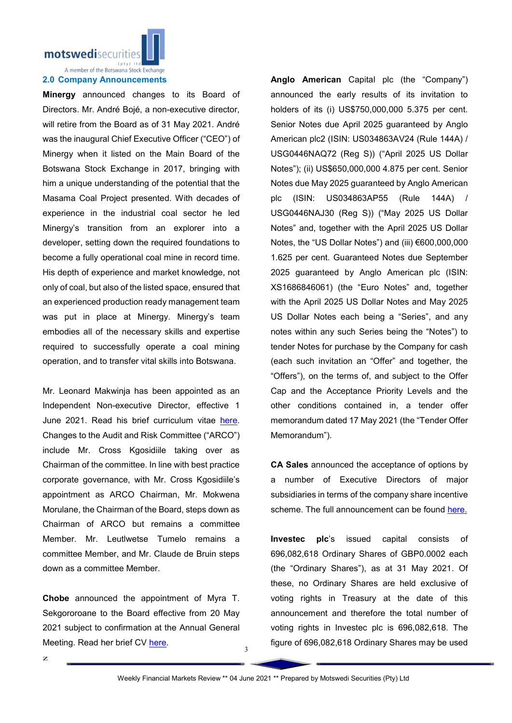

Minergy announced changes to its Board of Directors. Mr. André Bojé, a non-executive director, will retire from the Board as of 31 May 2021. André was the inaugural Chief Executive Officer ("CEO") of Minergy when it listed on the Main Board of the Botswana Stock Exchange in 2017, bringing with him a unique understanding of the potential that the Masama Coal Project presented. With decades of experience in the industrial coal sector he led Minergy's transition from an explorer into a developer, setting down the required foundations to become a fully operational coal mine in record time. His depth of experience and market knowledge, not only of coal, but also of the listed space, ensured that an experienced production ready management team was put in place at Minergy. Minergy's team embodies all of the necessary skills and expertise required to successfully operate a coal mining operation, and to transfer vital skills into Botswana.

Mr. Leonard Makwinja has been appointed as an Independent Non-executive Director, effective 1 June 2021. Read his brief curriculum vitae here. Changes to the Audit and Risk Committee ("ARCO") include Mr. Cross Kgosidiile taking over as Chairman of the committee. In line with best practice corporate governance, with Mr. Cross Kgosidiile's appointment as ARCO Chairman, Mr. Mokwena Morulane, the Chairman of the Board, steps down as Chairman of ARCO but remains a committee Member. Mr. Leutlwetse Tumelo remains a committee Member, and Mr. Claude de Bruin steps down as a committee Member.

Chobe announced the appointment of Myra T. Sekgororoane to the Board effective from 20 May 2021 subject to confirmation at the Annual General Meeting. Read her brief CV here.

Anglo American Capital plc (the "Company") announced the early results of its invitation to holders of its (i) US\$750,000,000 5.375 per cent. Senior Notes due April 2025 guaranteed by Anglo American plc2 (ISIN: US034863AV24 (Rule 144A) / USG0446NAQ72 (Reg S)) ("April 2025 US Dollar Notes"); (ii) US\$650,000,000 4.875 per cent. Senior Notes due May 2025 guaranteed by Anglo American plc (ISIN: US034863AP55 (Rule 144A) / USG0446NAJ30 (Reg S)) ("May 2025 US Dollar Notes" and, together with the April 2025 US Dollar Notes, the "US Dollar Notes") and (iii) €600,000,000 1.625 per cent. Guaranteed Notes due September 2025 guaranteed by Anglo American plc (ISIN: XS1686846061) (the "Euro Notes" and, together with the April 2025 US Dollar Notes and May 2025 US Dollar Notes each being a "Series", and any notes within any such Series being the "Notes") to tender Notes for purchase by the Company for cash (each such invitation an "Offer" and together, the "Offers"), on the terms of, and subject to the Offer Cap and the Acceptance Priority Levels and the other conditions contained in, a tender offer memorandum dated 17 May 2021 (the "Tender Offer Memorandum").

CA Sales announced the acceptance of options by a number of Executive Directors of major subsidiaries in terms of the company share incentive scheme. The full announcement can be found here.

Investec plc's issued capital consists of 696,082,618 Ordinary Shares of GBP0.0002 each (the "Ordinary Shares"), as at 31 May 2021. Of these, no Ordinary Shares are held exclusive of voting rights in Treasury at the date of this announcement and therefore the total number of voting rights in Investec plc is 696,082,618. The figure of 696,082,618 Ordinary Shares may be used

3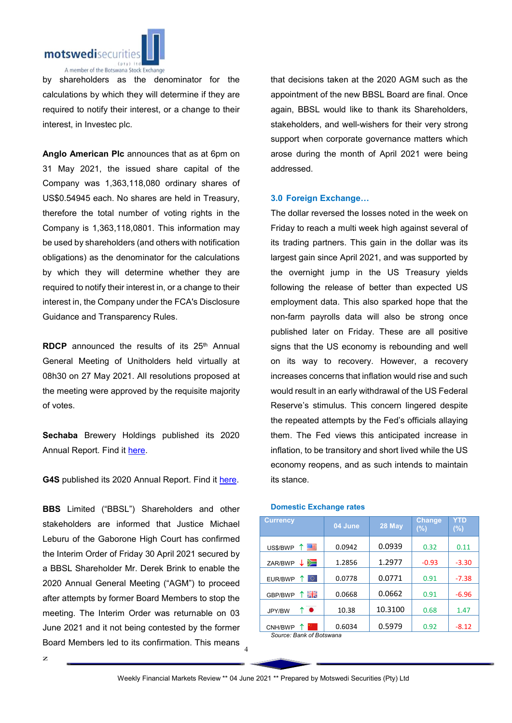

by shareholders as the denominator for the calculations by which they will determine if they are required to notify their interest, or a change to their interest, in Investec plc.

Anglo American Plc announces that as at 6pm on 31 May 2021, the issued share capital of the Company was 1,363,118,080 ordinary shares of US\$0.54945 each. No shares are held in Treasury, therefore the total number of voting rights in the Company is 1,363,118,0801. This information may be used by shareholders (and others with notification obligations) as the denominator for the calculations by which they will determine whether they are required to notify their interest in, or a change to their interest in, the Company under the FCA's Disclosure Guidance and Transparency Rules.

RDCP announced the results of its  $25<sup>th</sup>$  Annual General Meeting of Unitholders held virtually at 08h30 on 27 May 2021. All resolutions proposed at the meeting were approved by the requisite majority of votes.

Sechaba Brewery Holdings published its 2020 Annual Report. Find it here.

G4S published its 2020 Annual Report. Find it here.

Board Members led to its confirmation. This means 4 BBS Limited ("BBSL") Shareholders and other stakeholders are informed that Justice Michael Leburu of the Gaborone High Court has confirmed the Interim Order of Friday 30 April 2021 secured by a BBSL Shareholder Mr. Derek Brink to enable the 2020 Annual General Meeting ("AGM") to proceed after attempts by former Board Members to stop the meeting. The Interim Order was returnable on 03 June 2021 and it not being contested by the former

that decisions taken at the 2020 AGM such as the appointment of the new BBSL Board are final. Once again, BBSL would like to thank its Shareholders, stakeholders, and well-wishers for their very strong support when corporate governance matters which arose during the month of April 2021 were being addressed.

### 3.0 Foreign Exchange…

The dollar reversed the losses noted in the week on Friday to reach a multi week high against several of its trading partners. This gain in the dollar was its largest gain since April 2021, and was supported by the overnight jump in the US Treasury yields following the release of better than expected US employment data. This also sparked hope that the non-farm payrolls data will also be strong once published later on Friday. These are all positive signs that the US economy is rebounding and well on its way to recovery. However, a recovery increases concerns that inflation would rise and such would result in an early withdrawal of the US Federal Reserve's stimulus. This concern lingered despite the repeated attempts by the Fed's officials allaying them. The Fed views this anticipated increase in inflation, to be transitory and short lived while the US economy reopens, and as such intends to maintain its stance.

| <b>Currency</b>          | 04 June | 28 May  | <b>Change</b><br>(%) | YTD<br>$(\%)$ |  |
|--------------------------|---------|---------|----------------------|---------------|--|
| 四日<br>↑<br>US\$/BWP      | 0.0942  | 0.0939  | 0.32                 | 0.11          |  |
| Ň<br>ZAR/BWP             | 1.2856  | 1.2977  | $-0.93$              | $-3.30$       |  |
| 0<br>EUR/BWP             | 0.0778  | 0.0771  | 0.91                 | $-7.38$       |  |
| 픪푽<br>↑<br>GBP/BWP       | 0.0668  | 0.0662  | 0.91                 | $-6.96$       |  |
| ↑●<br>JPY/BW             | 10.38   | 10.3100 | 0.68                 | 1.47          |  |
| CNH/BWP                  | 0.6034  | 0.5979  | 0.92                 | $-8.12$       |  |
| Source: Bank of Botswana |         |         |                      |               |  |

#### Domestic Exchange rates